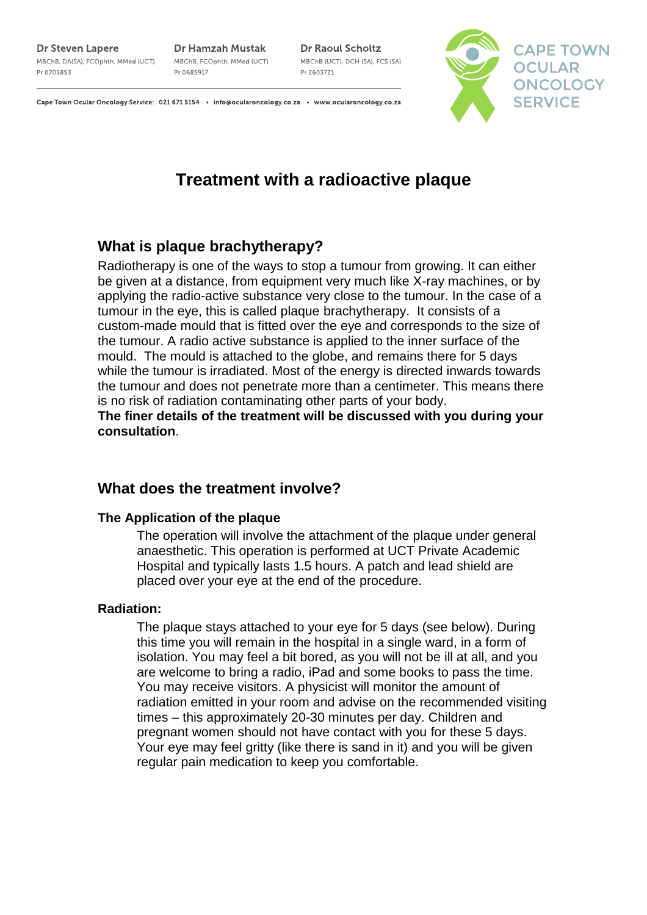#### **Dr Steven Lapere**

MBChB, DA(SA), FCOphth, MMed (UCT) Pr 0705853

**Dr Hamzah Mustak** MBChB, FCOphth, MMed (UCT) Pr 0685917

**Dr Raoul Scholtz** MBChB (UCT), DCH (SA), FCS (SA) Pr 2603721



Cape Town Ocular Oncology Service: 021 671 5154 . info@ocularoncology.co.za . www.ocularoncology.co.za

# **Treatment with a radioactive plaque**

# **What is plaque brachytherapy?**

Radiotherapy is one of the ways to stop a tumour from growing. It can either be given at a distance, from equipment very much like X-ray machines, or by applying the radio-active substance very close to the tumour. In the case of a tumour in the eye, this is called plaque brachytherapy. It consists of a custom-made mould that is fitted over the eye and corresponds to the size of the tumour. A radio active substance is applied to the inner surface of the mould. The mould is attached to the globe, and remains there for 5 days while the tumour is irradiated. Most of the energy is directed inwards towards the tumour and does not penetrate more than a centimeter. This means there is no risk of radiation contaminating other parts of your body.

**The finer details of the treatment will be discussed with you during your consultation**.

# **What does the treatment involve?**

### **The Application of the plaque**

The operation will involve the attachment of the plaque under general anaesthetic. This operation is performed at UCT Private Academic Hospital and typically lasts 1.5 hours. A patch and lead shield are placed over your eye at the end of the procedure.

### **Radiation:**

The plaque stays attached to your eye for 5 days (see below). During this time you will remain in the hospital in a single ward, in a form of isolation. You may feel a bit bored, as you will not be ill at all, and you are welcome to bring a radio, iPad and some books to pass the time. You may receive visitors. A physicist will monitor the amount of radiation emitted in your room and advise on the recommended visiting times – this approximately 20-30 minutes per day. Children and pregnant women should not have contact with you for these 5 days. Your eye may feel gritty (like there is sand in it) and you will be given regular pain medication to keep you comfortable.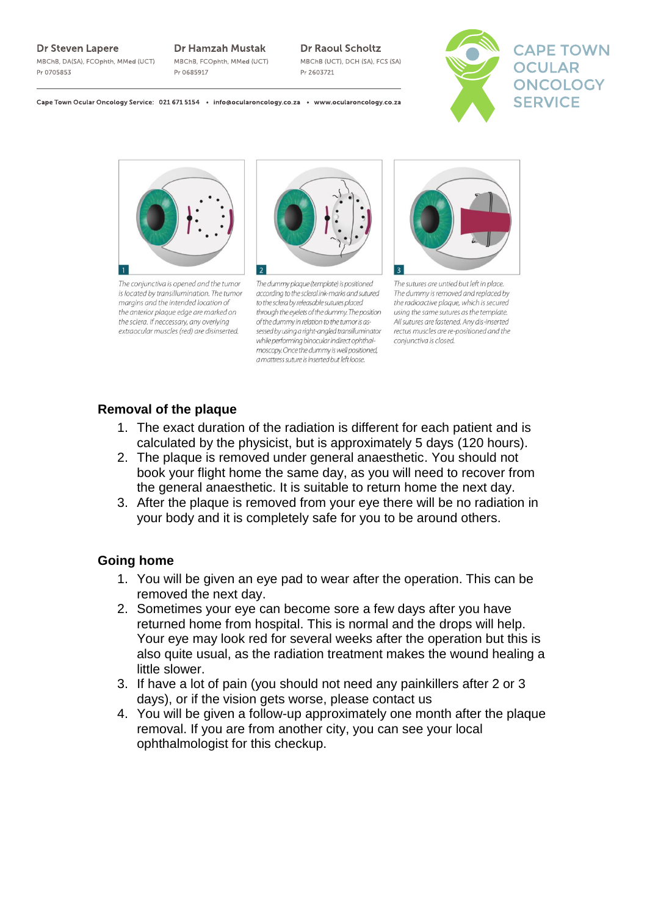#### Dr Steven Lapere

MBChB, DA(SA), FCOphth, MMed (UCT) Pr 0705853

**Dr Hamzah Mustak** MBChB, FCOphth, MMed (UCT)

**Dr 0685017** 

### **Dr Raoul Scholtz**

MBChB (UCT), DCH (SA), FCS (SA) Dr 2603721



Cape Town Ocular Oncology Service: 021 671 5154 . info@ocularoncology.co.za . www.ocularoncology.co.za



The conjunctiva is opened and the tumor is located by transillumination. The tumor margins and the intended location of the anterior plaque edge are marked on the sclera. If neccessary, any overlying extraocular muscles (red) are disinserted.



The dummy plaque (template) is positioned according to the scleral ink-marks and sutured to the sclera by releasable sutures placed through the eyelets of the dummy. The position of the dummy in relation to the tumor is assessed by using a right-angled transilluminator while performing binocular indirect ophthalmoscopy. Once the dummy is well positioned, a mattress suture is inserted but left loose.



The sutures are untied but left in place. The dummy is removed and replaced by the radioactive plague, which is secured using the same sutures as the template. All sutures are fastened. Any dis-inserted rectus muscles are re-positioned and the conjunctiva is closed.

# **Removal of the plaque**

- 1. The exact duration of the radiation is different for each patient and is calculated by the physicist, but is approximately 5 days (120 hours).
- 2. The plaque is removed under general anaesthetic. You should not book your flight home the same day, as you will need to recover from the general anaesthetic. It is suitable to return home the next day.
- 3. After the plaque is removed from your eye there will be no radiation in your body and it is completely safe for you to be around others.

## **Going home**

- 1. You will be given an eye pad to wear after the operation. This can be removed the next day.
- 2. Sometimes your eye can become sore a few days after you have returned home from hospital. This is normal and the drops will help. Your eye may look red for several weeks after the operation but this is also quite usual, as the radiation treatment makes the wound healing a little slower.
- 3. If have a lot of pain (you should not need any painkillers after 2 or 3 days), or if the vision gets worse, please contact us
- 4. You will be given a follow-up approximately one month after the plaque removal. If you are from another city, you can see your local ophthalmologist for this checkup.